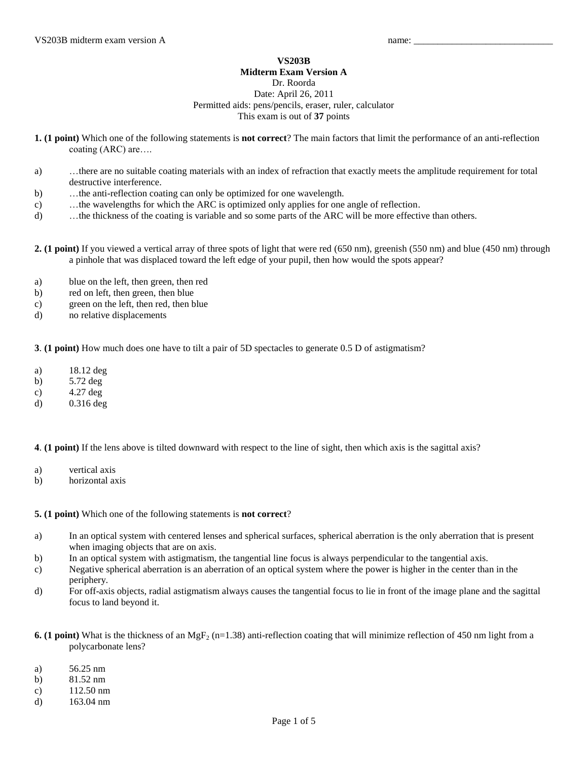## **VS203B Midterm Exam Version A**

Dr. Roorda

## Date: April 26, 2011 Permitted aids: pens/pencils, eraser, ruler, calculator This exam is out of **37** points

- **1. (1 point)** Which one of the following statements is **not correct**? The main factors that limit the performance of an anti-reflection coating (ARC) are….
- a) …there are no suitable coating materials with an index of refraction that exactly meets the amplitude requirement for total destructive interference.
- b) …the anti-reflection coating can only be optimized for one wavelength.
- c) …the wavelengths for which the ARC is optimized only applies for one angle of reflection.
- d) …the thickness of the coating is variable and so some parts of the ARC will be more effective than others.
- **2. (1 point)** If you viewed a vertical array of three spots of light that were red (650 nm), greenish (550 nm) and blue (450 nm) through a pinhole that was displaced toward the left edge of your pupil, then how would the spots appear?
- a) blue on the left, then green, then red
- b) red on left, then green, then blue
- c) green on the left, then red, then blue
- d) no relative displacements

**3**. **(1 point)** How much does one have to tilt a pair of 5D spectacles to generate 0.5 D of astigmatism?

- a) 18.12 deg
- b) 5.72 deg
- c) 4.27 deg
- d) 0.316 deg

**4**. **(1 point)** If the lens above is tilted downward with respect to the line of sight, then which axis is the sagittal axis?

- a) vertical axis
- b) horizontal axis

**5. (1 point)** Which one of the following statements is **not correct**?

- a) In an optical system with centered lenses and spherical surfaces, spherical aberration is the only aberration that is present when imaging objects that are on axis.
- b) In an optical system with astigmatism, the tangential line focus is always perpendicular to the tangential axis.
- c) Negative spherical aberration is an aberration of an optical system where the power is higher in the center than in the periphery.
- d) For off-axis objects, radial astigmatism always causes the tangential focus to lie in front of the image plane and the sagittal focus to land beyond it.
- **6. (1 point)** What is the thickness of an MgF<sub>2</sub> (n=1.38) anti-reflection coating that will minimize reflection of 450 nm light from a polycarbonate lens?
- a) 56.25 nm
- b) 81.52 nm
- c) 112.50 nm
- d) 163.04 nm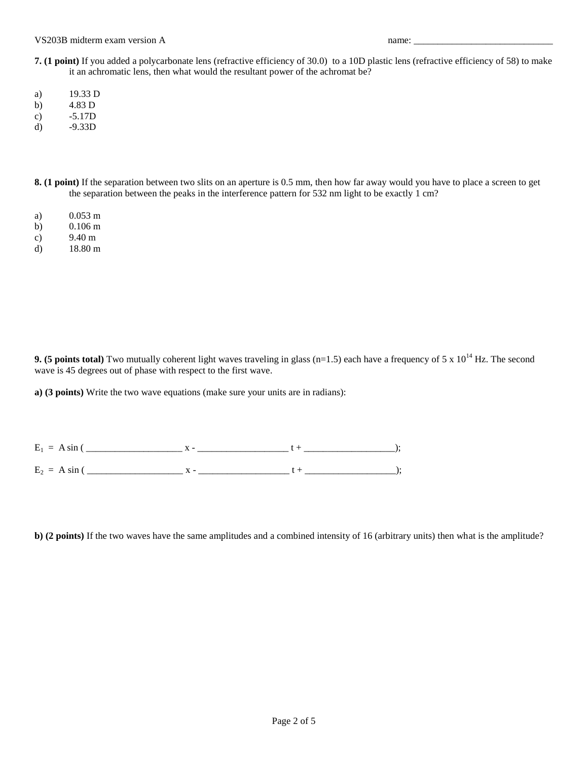VS203B midterm exam version A name:

- **7. (1 point)** If you added a polycarbonate lens (refractive efficiency of 30.0) to a 10D plastic lens (refractive efficiency of 58) to make it an achromatic lens, then what would the resultant power of the achromat be?
- a) 19.33 D
- b) 4.83 D
- c) -5.17D
- d) -9.33D
- **8. (1 point)** If the separation between two slits on an aperture is 0.5 mm, then how far away would you have to place a screen to get the separation between the peaks in the interference pattern for 532 nm light to be exactly 1 cm?
- a) 0.053 m
- b) 0.106 m
- c) 9.40 m
- d) 18.80 m

**9. (5 points total)** Two mutually coherent light waves traveling in glass  $(n=1.5)$  each have a frequency of 5 x  $10^{14}$  Hz. The second wave is 45 degrees out of phase with respect to the first wave.

**a) (3 points)** Write the two wave equations (make sure your units are in radians):

 $E_1 = A \sin (\underbrace{\qquad \qquad}_{\qquad \qquad} x - \underbrace{\qquad \qquad}_{\qquad \qquad} x - \underbrace{\qquad \qquad}_{\qquad \qquad} t + \underbrace{\qquad \qquad}_{\qquad \qquad \qquad} y + \underbrace{\qquad \qquad}_{\qquad \qquad \qquad} y + \underbrace{\qquad \qquad}_{\qquad \qquad \qquad} y + \underbrace{\qquad \qquad}_{\qquad \qquad \qquad} y + \underbrace{\qquad \qquad}_{\qquad \qquad \qquad} y + \underbrace{\qquad \qquad}_{\qquad \qquad \qquad} y + \underbrace{\qquad \qquad}_{\qquad \qquad \qquad} y + \under$  $E_2 = A \sin (\underbrace{\qquad \qquad}_{\qquad \qquad} x - \underbrace{\qquad \qquad}_{\qquad \qquad} x + \underbrace{\qquad \qquad}_{\qquad \qquad} t + \underbrace{\qquad \qquad}_{\qquad \qquad \qquad} y + \underbrace{\qquad \qquad}_{\qquad \qquad \qquad} y + \underbrace{\qquad \qquad}_{\qquad \qquad \qquad} y + \underbrace{\qquad \qquad}_{\qquad \qquad \qquad y + \frac{1}{2}}$ 

**b)** (2 points) If the two waves have the same amplitudes and a combined intensity of 16 (arbitrary units) then what is the amplitude?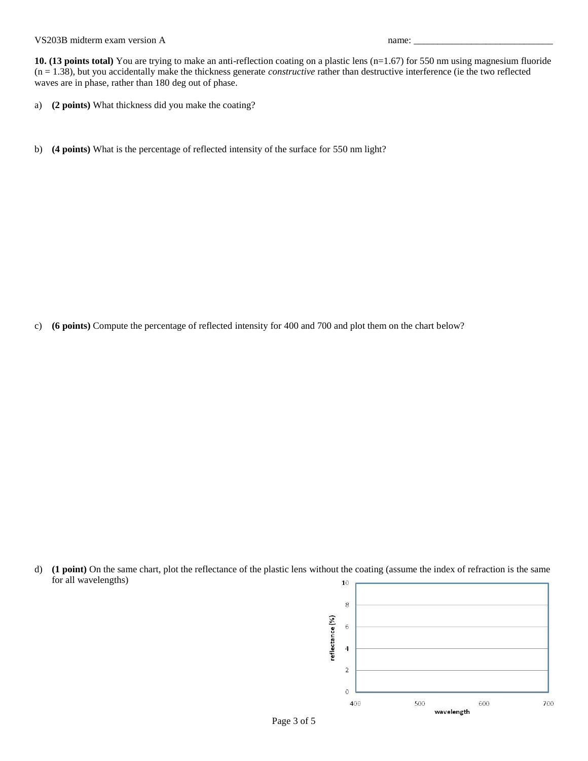## VS203B midterm exam version A name:

**10. (13 points total)** You are trying to make an anti-reflection coating on a plastic lens (n=1.67) for 550 nm using magnesium fluoride (n = 1.38), but you accidentally make the thickness generate *constructive* rather than destructive interference (ie the two reflected waves are in phase, rather than 180 deg out of phase.

- a) **(2 points)** What thickness did you make the coating?
- b) **(4 points)** What is the percentage of reflected intensity of the surface for 550 nm light?

c) **(6 points)** Compute the percentage of reflected intensity for 400 and 700 and plot them on the chart below?

d) **(1 point)** On the same chart, plot the reflectance of the plastic lens without the coating (assume the index of refraction is the same for all wavelengths)

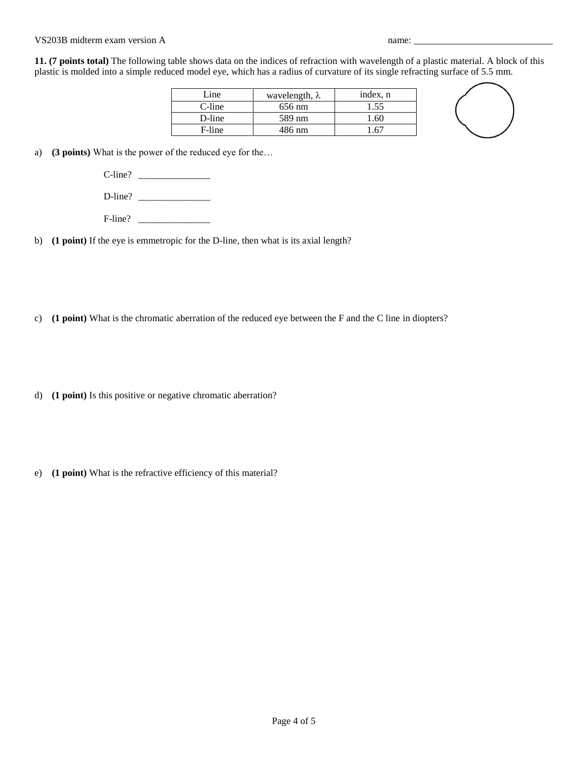## VS203B midterm exam version A name:

**11. (7 points total)** The following table shows data on the indices of refraction with wavelength of a plastic material. A block of this plastic is molded into a simple reduced model eye, which has a radius of curvature of its single refracting surface of 5.5 mm.

| Line   | wavelength, $\lambda$ | index, n |
|--------|-----------------------|----------|
| C-line | 656 nm                | 1.55     |
| D-line | 589 nm                | -60      |
| F-line | 486 nm                |          |



a) **(3 points)** What is the power of the reduced eye for the…

C-line? \_\_\_\_\_\_\_\_\_\_\_\_\_\_\_

D-line? \_\_\_\_\_\_\_\_\_\_\_\_\_\_\_

F-line? \_\_\_\_\_\_\_\_\_\_\_\_\_\_\_

b) **(1 point)** If the eye is emmetropic for the D-line, then what is its axial length?

c) **(1 point)** What is the chromatic aberration of the reduced eye between the F and the C line in diopters?

d) **(1 point)** Is this positive or negative chromatic aberration?

e) **(1 point)** What is the refractive efficiency of this material?